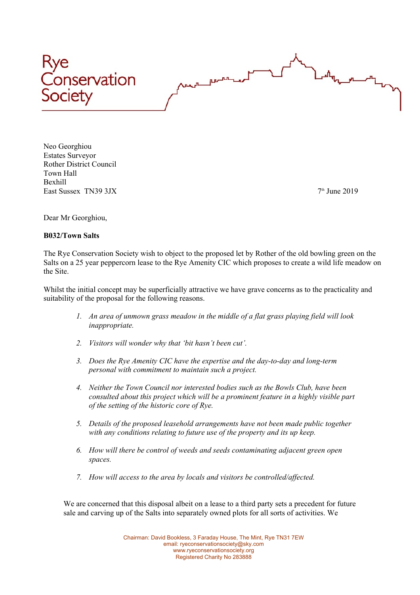



Neo Georghiou Estates Surveyor Rother District Council Town Hall Bexhill East Sussex TN39 3JX 7

 $7<sup>th</sup>$  June 2019

Dear Mr Georghiou,

## **B032/Town Salts**

The Rye Conservation Society wish to object to the proposed let by Rother of the old bowling green on the Salts on a 25 year peppercorn lease to the Rye Amenity CIC which proposes to create a wild life meadow on the Site.

Whilst the initial concept may be superficially attractive we have grave concerns as to the practicality and suitability of the proposal for the following reasons.

- *1. An area of unmown grass meadow in the middle of a flat grass playing field will look inappropriate.*
- *2. Visitors will wonder why that 'bit hasn't been cut'.*
- *3. Does the Rye Amenity CIC have the expertise and the day-to-day and long-term personal with commitment to maintain such a project.*
- *4. Neither the Town Council nor interested bodies such as the Bowls Club, have been consulted about this project which will be a prominent feature in a highly visible part of the setting of the historic core of Rye.*
- *5. Details of the proposed leasehold arrangements have not been made public together with any conditions relating to future use of the property and its up keep.*
- *6. How will there be control of weeds and seeds contaminating adjacent green open spaces.*
- *7. How will access to the area by locals and visitors be controlled/affected.*

We are concerned that this disposal albeit on a lease to a third party sets a precedent for future sale and carving up of the Salts into separately owned plots for all sorts of activities. We